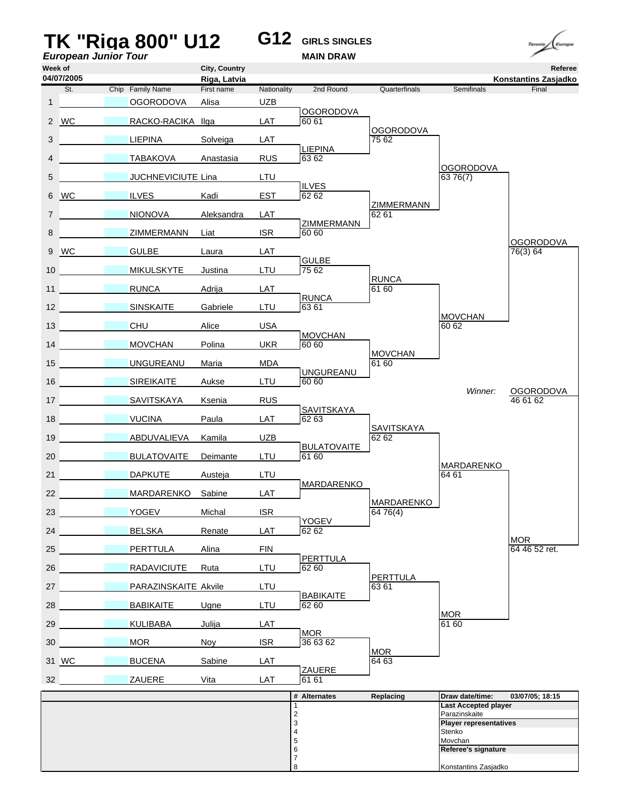## **TK "Riga 800" U12 G12 GIRLS SINGLES** *European Junior Tour* **Week of City, Country Referee 04/07/2005**

**Riga, Latvia Konstantins Zasjadko** St. Chip Family Name First name Nationality 2nd Round Quarterfinals Semifinals Final 1 **DESCRIPTION OGORODOVA Alisa** UZB **LAT** *COORODOVA* 2 WC RACKO-RACIKA Ilga Umpire *a* OGORODOVA 3 18 LIEPINA Solveiga LAT 75 62 RUS **LIEPINA**<br>RUS 63.62 4 12 TABAKOVA Anastasia 0GORODOVA<br>63 76(7) 5 JUCHNEVICIUTE Lina LTU Umpire *b* ILVES 6 WC 28 ILVES Kadi Umpire *b* ZIMMERMANN 7 30 NIONOVA Aleksandra LAT 62 61 ZIMMERMANN<br>ISR 60 60 8 2IMMERMANN Liat <mark>OGORODOVA</mark><br>76(3) 64 9 WC 25 GULBE Laura LAT External GULBE<br>
T<sub>5</sub> 62 10 MIKULSKYTE Justina **RUNCA**<br>61 60 11 **NUNCA** Adrija LAT LTU RUNCA<br>
63 61 12 SINSKAITE Gabriele **MOVCHAN** 13 2 CHU Alice USA 60 62 UKR **60 60** 14 MOVCHAN Polina Umpire *a* MOVCHAN 15 UNGUREANU Maria MDA 61 60 LTU **DIA UNGUREANU** 16 **23 SIREIKAITE** Aukse *Winner:* OGORODOVA 17 **6 SAVITSKAYA Ksenia RUS** 2008 12 MB 2009 12 MB 2009 2010 2021 2022 203 Example *SAVITSKAYA*<br>LAT 62 63 18 **VUCINA** Paula LAT 62 63 SAVITSKAYA 19 13 ABDUVALIEVA Kamila UZB 13 62 62 62 EXTERNALL BULATOVAITE 20 BULATOVAITE Deimante Umpire *b* MARDARENKO 21 **DAPKUTE Austeja LTU 64 61 64 61** LAT *b* **MARDARENKO** 22 MARDARENKO Sabine MARDARENKO<br>64 76(4) 23 17 YOGEV Michal ISR 164 76(4) **LAT** *a* YOGEV 24 **BELSKA** Renate MOR<br>64 46 52 ret. 25 PERTTULA Alina FIN DERTTULA Alina RIN DER EN 164 46 52 ret. **LTU** *A A* **PERTTULA** 26 RADAVICIUTE Ruta PERTTULA<br>63 61 27 **PARAZINSKAITE Akvile** LTU EXTERNALL BABIKAITE 28 **19 BABIKAITE** Ugne MOR<br>61 60 29 15 KULIBABA Julija LAT 61 60 **ISR b** MOR 30 **MOR** Noy ISR 36 63 62 MOR<br>64 63 31 WC BUCENA Sabine LAT LAT ZAUERE 32 **23 ZAUERE** Vita **# Alternates Replacing Draw date/time: 03/07/05; 18:15** 1 **Last Accepted player** 2<br>
2<br>
3<br> **Player repres<br>
4<br>
5**<br>
5<br>
Movchan 3 **Player representatives Stenko** 

5 Movchan<br>6 **Movchan** 

7

6 **Referee's signature**

Konstantins Zasjadko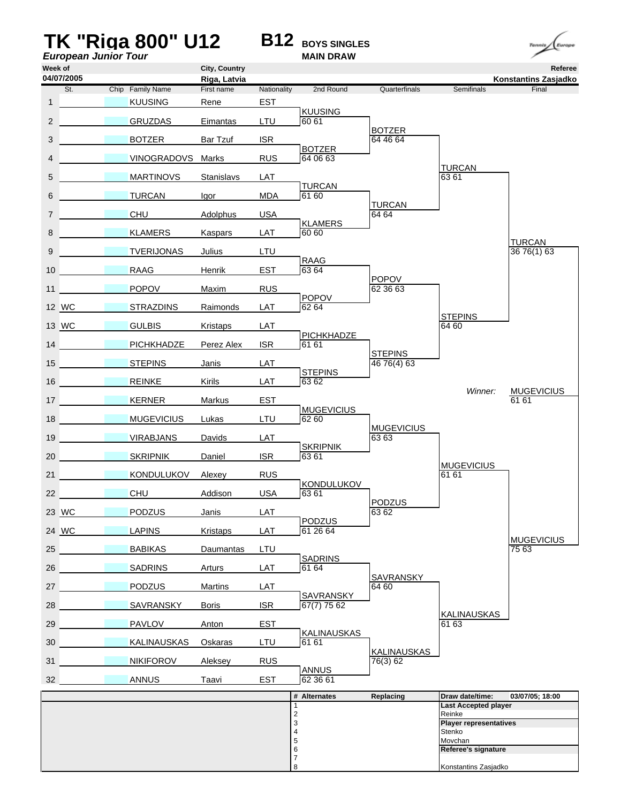## **TK "Riga 800" U12** B12 **BOYS SINGLES**<br> *European Junior Tour European Junior Tour*



**Week of City, Country Referee Riga, Latvia Konstantins Zasjadko** St. Chip Family Name First name Nationality 2nd Round Quarterfinals Semifinals Final 1 20 KUUSING Rene EST KUUSING<br>LTU 60 61 2 **30 GRUZDAS** Eimantas BOTZER<br>64 46 64 3 21 BOTZER Bar Tzuf ISR 64 46 64 **BOTZER**<br>RUS 64 06 63 4 7 VINOGRADOVS Marks TURCAN<br>63 61 5 29 MARTINOVS Stanislavs LAT MDA **B** TURCAN 6 3 TURCAN Igor <mark>TURCAN</mark><br>64 64 7 CHU Adolphus USA 64 64 External **KLAMERS** 8 19 KLAMERS Kaspars <u>TURCAN</u><br>36 76(1) 63 9 11 TVERIJONAS Julius LTU EST **B** RAAG 10 RAAG Henrik POPOV<br>62 36 63 11 18 POPOV Maxim RUS 62 36 63 LAT **POPOV** 12 WC 3TRAZDINS Raimonds **STEPINS** 13 WC 26 GULBIS Kristaps LAT 64 60 **PICHKHADZE**<br>ISR 61 61 14 **PICHKHADZE** Perez Alex **STEPINS** 15 STEPINS Janis LAT 16 76(4) 63 LAT **STEPINS** 16 **32 REINKE** Kirils *Winner:* MUGEVICIUS 17 15 KERNER Markus EST Umpire *b* 61 61 EXTURBIRE **B** MUGEVICIUS 18 MUGEVICIUS Lukas LTU 62 60 **MUGEVICIUS** 19 **12 VIRABJANS** Davids LAT 6363 ISR **B** SKRIPNIK 20 **SKRIPNIK Daniel** Umpire *a* MUGEVICIUS 21 KONDULUKOV Alexey RUS 21 6161 USA KONDULUKOV 22 CHU Addison USA 6361 PODZUS<br>63 62 23 WC 28 PODZUS Janis LAT <u>PODZUS</u><br>LAT 61 26 64 24 WC LAPINS Kristaps MUGEVICIUS<br>75 63 25 31 BABIKAS Daumantas LTU 75 63 Example **B** SADRINS<br>
EXT 6164 26 8ADRINS Arturs SAVRANSKY<br>64 60 27 **PODZUS** Martins LAT 64 60 **EXAMPLE SAVRANSKY**<br> **BR** 67(7) 75 62 28 17 SAVRANSKY Boris KALINAUSKAS<br>61 63 29 PAVLOV Anton EST \_\_\_\_ 61 63 EXALINAUSKAS<br>LTU 61 61 30 16 KALINAUSKAS Oskaras KALINAUSKAS<br>76(3) 62 31 NIKIFOROV Aleksey RUS EST **B** ANNUS<br>
62 36 61 32 ANNUS Taavi **# Alternates Replacing Draw date/time: 03/07/05; 18:00** 1 **Last Accepted player** 2<br>
2<br>
3<br>
4<br>
5<br>
5<br>
Movcha<br>
2<br>
2<br>
Reinke<br> **Player**<br>
Stenko 3 **Player representatives Stenko** Movchan 6 **Referee's signature** 7 8 Konstantins Zasjadko **04/07/2005**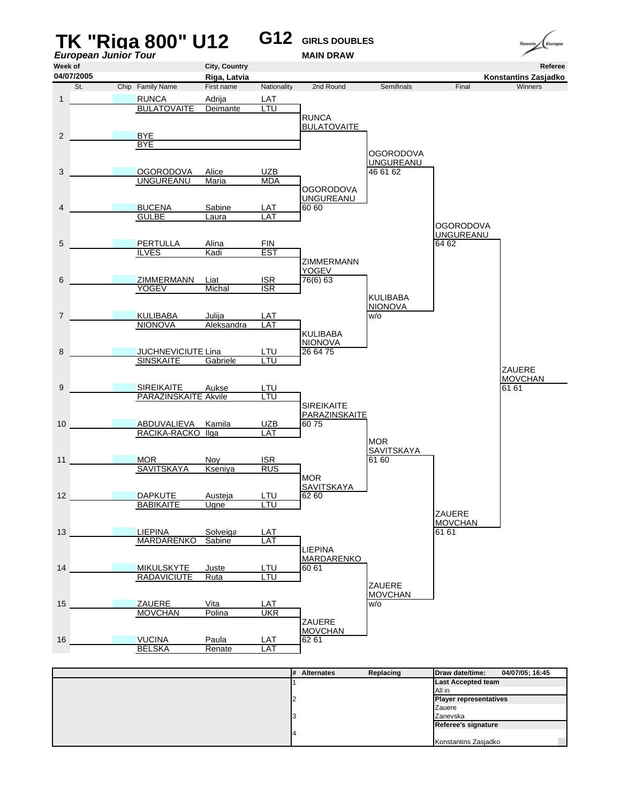